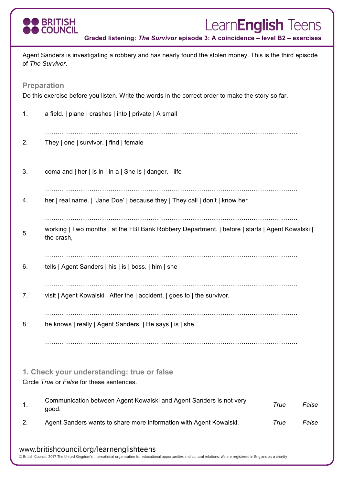

# Learn**English** Teens

**Graded listening:** *The Survivor* **episode 3: A coincidence – level B2 – exercises**

| Agent Sanders is investigating a robbery and has nearly found the stolen money. This is the third episode<br>of The Survivor. |                                                                                                               |      |       |  |  |  |  |
|-------------------------------------------------------------------------------------------------------------------------------|---------------------------------------------------------------------------------------------------------------|------|-------|--|--|--|--|
| <b>Preparation</b>                                                                                                            |                                                                                                               |      |       |  |  |  |  |
| Do this exercise before you listen. Write the words in the correct order to make the story so far.                            |                                                                                                               |      |       |  |  |  |  |
| 1.                                                                                                                            | a field.   plane   crashes   into   private   A small                                                         |      |       |  |  |  |  |
| 2.                                                                                                                            | They   one   survivor.   find   female                                                                        |      |       |  |  |  |  |
| 3.                                                                                                                            | coma and $ $ her $ $ is in $ $ in a $ $ She is $ $ danger. $ $ life                                           |      |       |  |  |  |  |
| 4.                                                                                                                            | her   real name.   'Jane Doe'   because they   They call   don't   know her                                   |      |       |  |  |  |  |
| 5.                                                                                                                            | working   Two months   at the FBI Bank Robbery Department.   before   starts   Agent Kowalski  <br>the crash, |      |       |  |  |  |  |
| 6.                                                                                                                            | tells   Agent Sanders   his   is   boss.   him   she                                                          |      |       |  |  |  |  |
| 7.                                                                                                                            | visit   Agent Kowalski   After the   accident,   goes to   the survivor.                                      |      |       |  |  |  |  |
| 8.                                                                                                                            | he knows   really   Agent Sanders.   He says   is   she                                                       |      |       |  |  |  |  |
|                                                                                                                               |                                                                                                               |      |       |  |  |  |  |
| 1. Check your understanding: true or false<br>Circle True or False for these sentences.                                       |                                                                                                               |      |       |  |  |  |  |
| 1.                                                                                                                            | Communication between Agent Kowalski and Agent Sanders is not very<br>good.                                   | True | False |  |  |  |  |
| 2.                                                                                                                            | Agent Sanders wants to share more information with Agent Kowalski.                                            | True | False |  |  |  |  |
| www.britishcouncil.org/learnenglishteens                                                                                      |                                                                                                               |      |       |  |  |  |  |

© British Council, 2017 The United Kingdom's international organisation for educational opportunities and cultural relations. We are registered in England as a charity.